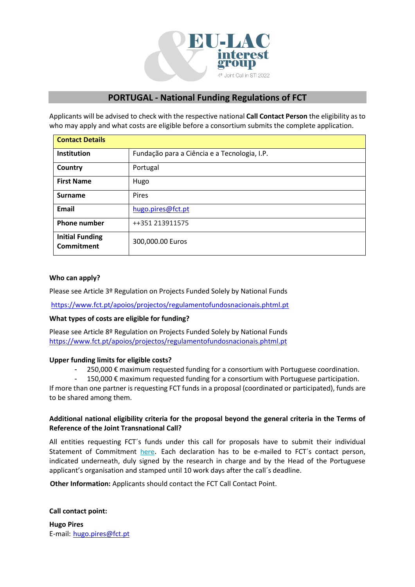

# **PORTUGAL - National Funding Regulations of FCT**

Applicants will be advised to check with the respective national **Call Contact Person** the eligibility as to who may apply and what costs are eligible before a consortium submits the complete application.

| <b>Contact Details</b>                      |                                              |
|---------------------------------------------|----------------------------------------------|
| <b>Institution</b>                          | Fundação para a Ciência e a Tecnologia, I.P. |
| Country                                     | Portugal                                     |
| <b>First Name</b>                           | Hugo                                         |
| <b>Surname</b>                              | Pires                                        |
| Email                                       | hugo.pires@fct.pt                            |
| <b>Phone number</b>                         | ++351 213911575                              |
| <b>Initial Funding</b><br><b>Commitment</b> | 300,000.00 Euros                             |

# **Who can apply?**

Please see Article 3º Regulation on Projects Funded Solely by National Funds

<https://www.fct.pt/apoios/projectos/regulamentofundosnacionais.phtml.pt>

### **What types of costs are eligible for funding?**

Please see Article 8º Regulation on Projects Funded Solely by National Funds <https://www.fct.pt/apoios/projectos/regulamentofundosnacionais.phtml.pt>

### **Upper funding limits for eligible costs?**

- 250,000  $€$  maximum requested funding for a consortium with Portuguese coordination.
- $150,000 \in \text{maximum requested funding for a consortium with Portuguese participation.}$

If more than one partner is requesting FCT funds in a proposal (coordinated or participated), funds are to be shared among them.

# **Additional national eligibility criteria for the proposal beyond the general criteria in the Terms of Reference of the Joint Transnational Call?**

All entities requesting FCT´s funds under this call for proposals have to submit their individual Statement of Commitment [here](https://www.fct.pt/apoios/cooptrans/eranets/docs/Declaracao_de_compromisso_FCT_2019.pdf). Each declaration has to be e-mailed to FCT's contact person, indicated underneath, duly signed by the research in charge and by the Head of the Portuguese applicant's organisation and stamped until 10 work days after the call´s deadline.

**Other Information:** Applicants should contact the FCT Call Contact Point.

### **Call contact point:**

**Hugo Pires** E-mail: [hugo.pires@fct.pt](mailto:hugo.pires@fct.pt)